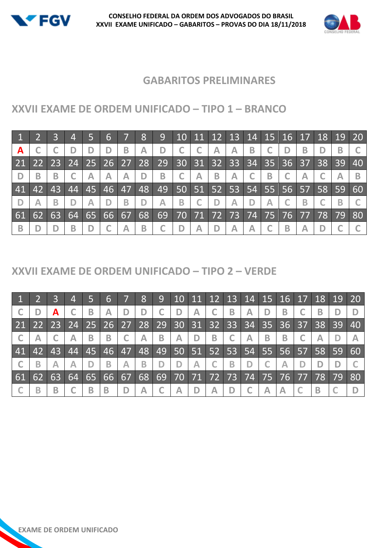



#### **GABARITOS PRELIMINARES**

## **XXVII EXAME DE ORDEM UNIFICADO – TIPO 1 – BRANCO**

|             |           |    | $\overline{4}$ | 5  | 6  |                 | 8               | 9 <sup>°</sup> | 10              |                      |             | 11 12 13 14  |             | $15 \mid 16 \mid 17 \mid$ |      |                   |    | 18 19 20 |    |
|-------------|-----------|----|----------------|----|----|-----------------|-----------------|----------------|-----------------|----------------------|-------------|--------------|-------------|---------------------------|------|-------------------|----|----------|----|
| A           |           |    |                | D  | D  | B               | A               | D              |                 |                      | $\bigwedge$ | A            | B           |                           |      | В                 |    |          |    |
| $\sqrt{21}$ | <b>22</b> |    | 23 24 25       |    | 26 | 27 <sup>1</sup> | 28              | 29             | 30 <sup>1</sup> |                      | 31 32 33    |              | 34          | 35 <sup>°</sup>           |      | $36 \mid 37 \mid$ | 38 | -39      | 40 |
|             | B         | B  |                |    | Α  | Α               | D               | B              |                 | Α                    | B           | $\mathsf{A}$ | $\mathsf C$ | B                         |      | А                 |    |          | B  |
| 41          | 42        | 43 | 44             | 45 | 46 | 47              | 48 <sub>l</sub> | 49             |                 | 50 51 52 53          |             |              | 54          | 55                        |      | $56$ 57 58 59     |    |          | 60 |
|             |           | B  |                | Α  | D  | B               |                 | Α              | B               |                      | D           | Α            | D           | Α                         |      | B                 |    |          |    |
| 61          | 62        | 63 | 64             | 65 | 66 | 67              | 68              | 69             | 70              | $71\overline{72}$ 73 |             |              | 74          | 75                        | 1767 | 77                | 78 | 79       | 80 |
| B           |           |    | в              |    |    | Α               | B               |                | D               | Α                    | D           | А            | A           |                           | B    | А                 |    |          |    |

#### **XXVII EXAME DE ORDEM UNIFICADO – TIPO 2 – VERDE**

|                            |    |    | $\overline{4}$ |    | $6 \overline{6}$                                                    |   | 8  | 9 <sup>°</sup> |   |   |   | 10   11   12   13   14   15   16   17   18   19   20 |             |   |   |   |    |    |
|----------------------------|----|----|----------------|----|---------------------------------------------------------------------|---|----|----------------|---|---|---|------------------------------------------------------|-------------|---|---|---|----|----|
|                            |    | A  |                |    | Α                                                                   |   |    |                |   | Α |   | B                                                    | Α           |   | В | B |    |    |
| 21 22 23 24 25 26 27 28 29 |    |    |                |    |                                                                     |   |    |                |   |   |   | 30 31 32 33 34 35 36 37 38                           |             |   |   |   | 39 | 40 |
|                            |    |    |                | B  | B                                                                   |   | Α  | B              | A | D | B |                                                      | $\bigwedge$ | В | B |   |    |    |
| 41                         | 42 | 43 | 44             | 45 | 46   47   48   49   50   51   52   53   54   55   56   57   58   59 |   |    |                |   |   |   |                                                      |             |   |   |   |    | 60 |
|                            | B  |    |                |    | B.                                                                  | Α | B  |                | D | A |   | B                                                    | D           |   |   |   |    |    |
| 61                         | 62 | 63 | $64 \ 65$      |    | 66 67                                                               |   | 68 | 69             |   |   |   | 70   71   72   73   74   75   76   77   78           |             |   |   |   | 79 | 80 |
|                            | В  | B  |                |    | В                                                                   |   | Α  |                | А |   |   | D                                                    |             |   |   |   |    |    |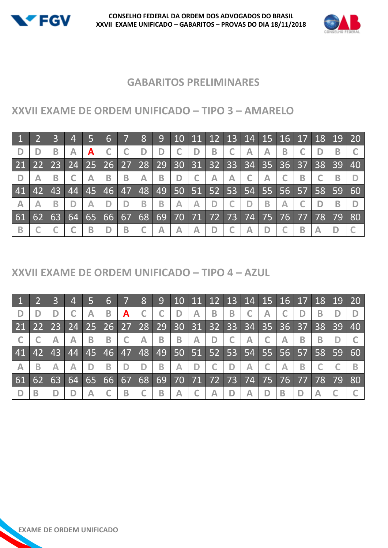



## **GABARITOS PRELIMINARES**

# **XXVII EXAME DE ORDEM UNIFICADO – TIPO 3 – AMARELO**

|                         |    |    | $\overline{4}$                                            |   | 6           |   | 8                       | 9 <sup>°</sup>          |   |              |                         | 10   11   12   13   14   15   16   17   18   19   20 |            |             |   |   |                |    |       |
|-------------------------|----|----|-----------------------------------------------------------|---|-------------|---|-------------------------|-------------------------|---|--------------|-------------------------|------------------------------------------------------|------------|-------------|---|---|----------------|----|-------|
|                         |    | B  | Α                                                         | A |             |   | D                       | D                       |   |              | B                       |                                                      | A          | A           | B |   |                |    |       |
| 21                      |    |    | 22   23   24   25   26   27   28   29   30   31   32   33 |   |             |   |                         |                         |   |              |                         |                                                      | <b>134</b> |             |   |   | 35 36 37 38 39 |    | 40    |
| D                       |    | B  |                                                           | A | B           | B | $\overline{\mathsf{A}}$ | B                       | D |              | $\overline{\mathsf{A}}$ | $\overline{\mathsf{A}}$                              |            | $\bigwedge$ |   | B |                |    |       |
| 41                      | 42 | 43 |                                                           |   | 44 45 46 47 |   |                         | 48 49 50 51 52 53       |   |              |                         |                                                      | 54         |             |   |   | 55 56 57 58 59 |    | $-60$ |
| $\overline{\mathsf{A}}$ |    | B  |                                                           | A | D           | D | B                       | B                       | A | $\mathbb{A}$ |                         |                                                      | D          | В           |   |   |                | B  |       |
| 61                      | 62 | 63 |                                                           |   | 64 65 66 67 |   |                         |                         |   |              |                         | 68 69 70 71 72 73 74                                 |            |             |   |   | 75 76 77 78    | 79 | 80    |
| B                       |    |    |                                                           | B | D           | B | C                       | $\overline{\mathsf{A}}$ | A | $\bigwedge$  |                         |                                                      | Α          |             |   | B |                |    |       |

## **XXVII EXAME DE ORDEM UNIFICADO – TIPO 4 – AZUL**

|                 |    |                 | $\overline{4}$                      |   | 6           |   | 8           | 9 |              |              |             |              | $10$ 11 12 13 14 15 16 17           |                                  |                         |   |    | 18 19 20 |                 |
|-----------------|----|-----------------|-------------------------------------|---|-------------|---|-------------|---|--------------|--------------|-------------|--------------|-------------------------------------|----------------------------------|-------------------------|---|----|----------|-----------------|
| D               |    |                 |                                     | A | B           | A |             |   | D            | $\mathbb{A}$ | $\mathbf B$ | $\mathbf{B}$ |                                     | A                                |                         |   | B  |          |                 |
| $\overline{21}$ | 22 |                 | 23 24 25 26 27 28 29 30 31 32 33 34 |   |             |   |             |   |              |              |             |              |                                     | $35 \overline{36} \overline{37}$ |                         |   | 38 | 39       | $\overline{40}$ |
|                 |    | A               | $\overline{\mathsf{A}}$             | B | B           |   | $\bigwedge$ | B | $\mathbf{B}$ | $\bigwedge$  | D           |              | $\bigwedge$                         |                                  | $\overline{\mathsf{A}}$ | B | B  |          |                 |
| 41              | 42 | 43 <sup>1</sup> |                                     |   | 44 45 46 47 |   |             |   |              |              |             |              | 48 49 50 51 52 53 54 55 56 57 58 59 |                                  |                         |   |    |          | $-60$           |
| $\mathbb{A}$    | B  | A               |                                     |   | B           | D | D           | B | А            | D            |             | D            | Α                                   |                                  | $\mathbb A$             | в |    |          |                 |
| 61              | 62 | 63              | 64 <sup>2</sup>                     |   | 65 66 67    |   | 68          |   |              |              |             |              | 69 70 71 72 73 74 75 76 77          |                                  |                         |   | 78 | 79       | 80              |
|                 |    |                 |                                     | Α |             | B |             | B | A            |              | $\bigwedge$ | D            | Α                                   |                                  | B                       |   |    |          |                 |